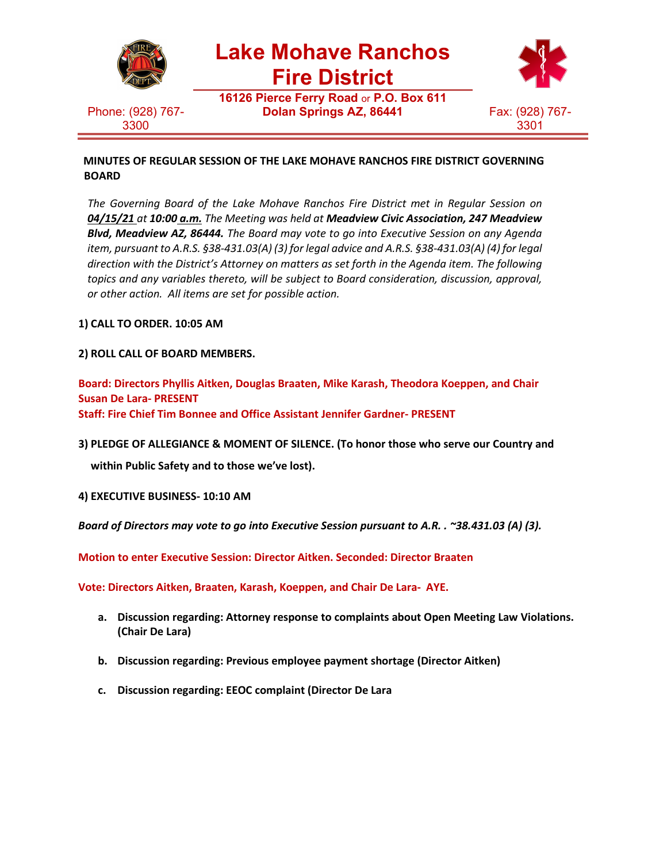

Phone: (928) 767- 3300

**Lake Mohave Ranchos**

**Fire District**

**16126 Pierce Ferry Road** or **P.O. Box 611 Dolan Springs AZ, 86441** Fax: (928) 767-



**MINUTES OF REGULAR SESSION OF THE LAKE MOHAVE RANCHOS FIRE DISTRICT GOVERNING BOARD**

*The Governing Board of the Lake Mohave Ranchos Fire District met in Regular Session on 04/15/21 at 10:00 a.m. The Meeting was held at Meadview Civic Association, 247 Meadview Blvd, Meadview AZ, 86444. The Board may vote to go into Executive Session on any Agenda item, pursuant to A.R.S. §38-431.03(A) (3) for legal advice and A.R.S. §38-431.03(A) (4) for legal direction with the District's Attorney on matters as set forth in the Agenda item. The following topics and any variables thereto, will be subject to Board consideration, discussion, approval, or other action. All items are set for possible action.*

**1) CALL TO ORDER. 10:05 AM**

**2) ROLL CALL OF BOARD MEMBERS.**

**Board: Directors Phyllis Aitken, Douglas Braaten, Mike Karash, Theodora Koeppen, and Chair Susan De Lara- PRESENT Staff: Fire Chief Tim Bonnee and Office Assistant Jennifer Gardner- PRESENT**

**3) PLEDGE OF ALLEGIANCE & MOMENT OF SILENCE. (To honor those who serve our Country and**

**within Public Safety and to those we've lost).**

**4) EXECUTIVE BUSINESS- 10:10 AM**

*Board of Directors may vote to go into Executive Session pursuant to A.R. . ~38.431.03 (A) (3).*

**Motion to enter Executive Session: Director Aitken. Seconded: Director Braaten**

**Vote: Directors Aitken, Braaten, Karash, Koeppen, and Chair De Lara- AYE.**

- **a. Discussion regarding: Attorney response to complaints about Open Meeting Law Violations. (Chair De Lara)**
- **b. Discussion regarding: Previous employee payment shortage (Director Aitken)**
- **c. Discussion regarding: EEOC complaint (Director De Lara**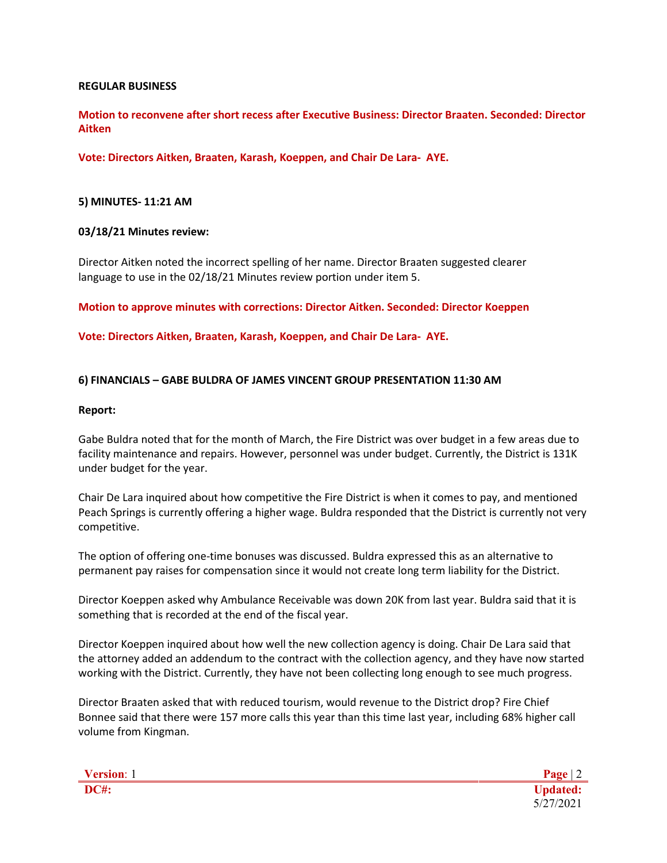### **REGULAR BUSINESS**

**Motion to reconvene after short recess after Executive Business: Director Braaten. Seconded: Director Aitken**

**Vote: Directors Aitken, Braaten, Karash, Koeppen, and Chair De Lara- AYE.**

### **5) MINUTES- 11:21 AM**

### **03/18/21 Minutes review:**

Director Aitken noted the incorrect spelling of her name. Director Braaten suggested clearer language to use in the 02/18/21 Minutes review portion under item 5.

**Motion to approve minutes with corrections: Director Aitken. Seconded: Director Koeppen**

**Vote: Directors Aitken, Braaten, Karash, Koeppen, and Chair De Lara- AYE.**

### **6) FINANCIALS – GABE BULDRA OF JAMES VINCENT GROUP PRESENTATION 11:30 AM**

#### **Report:**

Gabe Buldra noted that for the month of March, the Fire District was over budget in a few areas due to facility maintenance and repairs. However, personnel was under budget. Currently, the District is 131K under budget for the year.

Chair De Lara inquired about how competitive the Fire District is when it comes to pay, and mentioned Peach Springs is currently offering a higher wage. Buldra responded that the District is currently not very competitive.

The option of offering one-time bonuses was discussed. Buldra expressed this as an alternative to permanent pay raises for compensation since it would not create long term liability for the District.

Director Koeppen asked why Ambulance Receivable was down 20K from last year. Buldra said that it is something that is recorded at the end of the fiscal year.

Director Koeppen inquired about how well the new collection agency is doing. Chair De Lara said that the attorney added an addendum to the contract with the collection agency, and they have now started working with the District. Currently, they have not been collecting long enough to see much progress.

Director Braaten asked that with reduced tourism, would revenue to the District drop? Fire Chief Bonnee said that there were 157 more calls this year than this time last year, including 68% higher call volume from Kingman.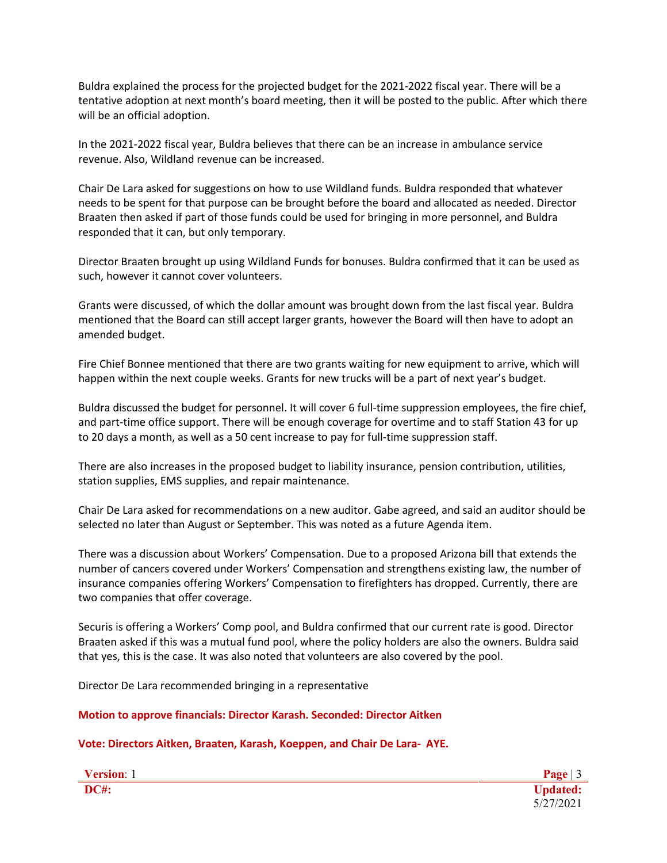Buldra explained the process for the projected budget for the 2021-2022 fiscal year. There will be a tentative adoption at next month's board meeting, then it will be posted to the public. After which there will be an official adoption.

In the 2021-2022 fiscal year, Buldra believes that there can be an increase in ambulance service revenue. Also, Wildland revenue can be increased.

Chair De Lara asked for suggestions on how to use Wildland funds. Buldra responded that whatever needs to be spent for that purpose can be brought before the board and allocated as needed. Director Braaten then asked if part of those funds could be used for bringing in more personnel, and Buldra responded that it can, but only temporary.

Director Braaten brought up using Wildland Funds for bonuses. Buldra confirmed that it can be used as such, however it cannot cover volunteers.

Grants were discussed, of which the dollar amount was brought down from the last fiscal year. Buldra mentioned that the Board can still accept larger grants, however the Board will then have to adopt an amended budget.

Fire Chief Bonnee mentioned that there are two grants waiting for new equipment to arrive, which will happen within the next couple weeks. Grants for new trucks will be a part of next year's budget.

Buldra discussed the budget for personnel. It will cover 6 full-time suppression employees, the fire chief, and part-time office support. There will be enough coverage for overtime and to staff Station 43 for up to 20 days a month, as well as a 50 cent increase to pay for full-time suppression staff.

There are also increases in the proposed budget to liability insurance, pension contribution, utilities, station supplies, EMS supplies, and repair maintenance.

Chair De Lara asked for recommendations on a new auditor. Gabe agreed, and said an auditor should be selected no later than August or September. This was noted as a future Agenda item.

There was a discussion about Workers' Compensation. Due to a proposed Arizona bill that extends the number of cancers covered under Workers' Compensation and strengthens existing law, the number of insurance companies offering Workers' Compensation to firefighters has dropped. Currently, there are two companies that offer coverage.

Securis is offering a Workers' Comp pool, and Buldra confirmed that our current rate is good. Director Braaten asked if this was a mutual fund pool, where the policy holders are also the owners. Buldra said that yes, this is the case. It was also noted that volunteers are also covered by the pool.

Director De Lara recommended bringing in a representative

**Motion to approve financials: Director Karash. Seconded: Director Aitken**

**Vote: Directors Aitken, Braaten, Karash, Koeppen, and Chair De Lara- AYE.**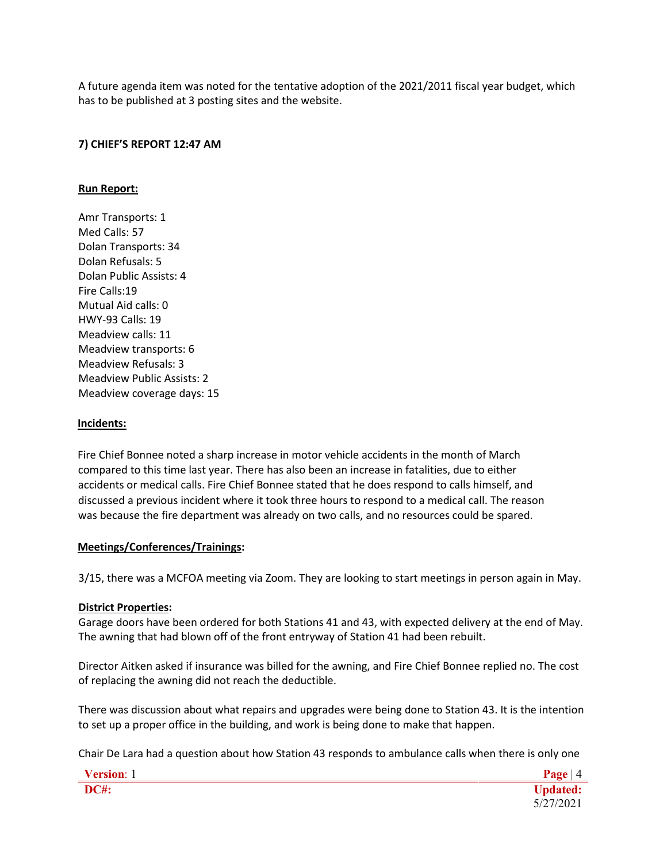A future agenda item was noted for the tentative adoption of the 2021/2011 fiscal year budget, which has to be published at 3 posting sites and the website.

## **7) CHIEF'S REPORT 12:47 AM**

## **Run Report:**

Amr Transports: 1 Med Calls: 57 Dolan Transports: 34 Dolan Refusals: 5 Dolan Public Assists: 4 Fire Calls:19 Mutual Aid calls: 0 HWY-93 Calls: 19 Meadview calls: 11 Meadview transports: 6 Meadview Refusals: 3 Meadview Public Assists: 2 Meadview coverage days: 15

### **Incidents:**

Fire Chief Bonnee noted a sharp increase in motor vehicle accidents in the month of March compared to this time last year. There has also been an increase in fatalities, due to either accidents or medical calls. Fire Chief Bonnee stated that he does respond to calls himself, and discussed a previous incident where it took three hours to respond to a medical call. The reason was because the fire department was already on two calls, and no resources could be spared.

### **Meetings/Conferences/Trainings:**

3/15, there was a MCFOA meeting via Zoom. They are looking to start meetings in person again in May.

### **District Properties:**

Garage doors have been ordered for both Stations 41 and 43, with expected delivery at the end of May. The awning that had blown off of the front entryway of Station 41 had been rebuilt.

Director Aitken asked if insurance was billed for the awning, and Fire Chief Bonnee replied no. The cost of replacing the awning did not reach the deductible.

There was discussion about what repairs and upgrades were being done to Station 43. It is the intention to set up a proper office in the building, and work is being done to make that happen.

Chair De Lara had a question about how Station 43 responds to ambulance calls when there is only one

| Version: 1  | $\mathbf{v}_{\alpha\alpha\alpha}$ |
|-------------|-----------------------------------|
| <b>DC#:</b> |                                   |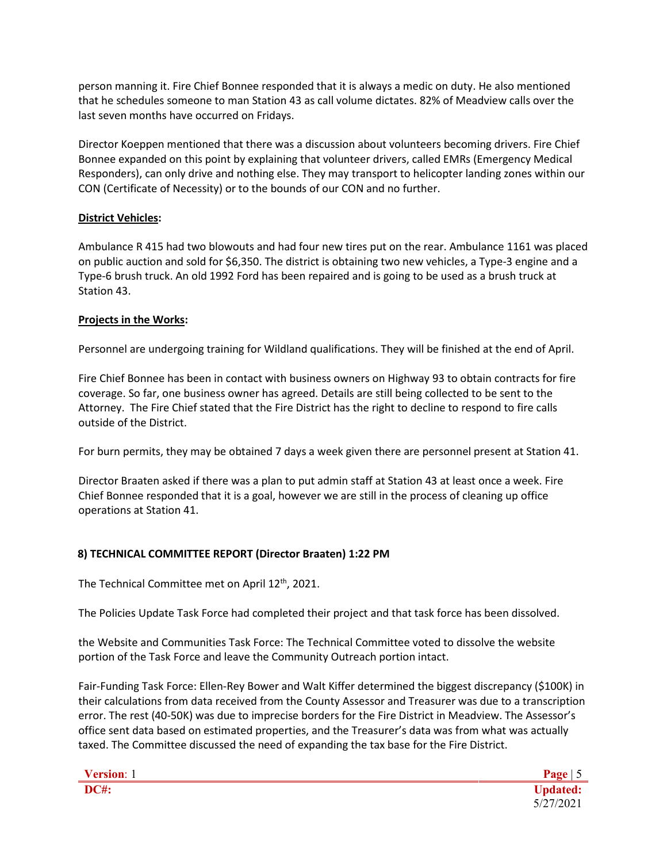person manning it. Fire Chief Bonnee responded that it is always a medic on duty. He also mentioned that he schedules someone to man Station 43 as call volume dictates. 82% of Meadview calls over the last seven months have occurred on Fridays.

Director Koeppen mentioned that there was a discussion about volunteers becoming drivers. Fire Chief Bonnee expanded on this point by explaining that volunteer drivers, called EMRs (Emergency Medical Responders), can only drive and nothing else. They may transport to helicopter landing zones within our CON (Certificate of Necessity) or to the bounds of our CON and no further.

## **District Vehicles:**

Ambulance R 415 had two blowouts and had four new tires put on the rear. Ambulance 1161 was placed on public auction and sold for \$6,350. The district is obtaining two new vehicles, a Type-3 engine and a Type-6 brush truck. An old 1992 Ford has been repaired and is going to be used as a brush truck at Station 43.

# **Projects in the Works:**

Personnel are undergoing training for Wildland qualifications. They will be finished at the end of April.

Fire Chief Bonnee has been in contact with business owners on Highway 93 to obtain contracts for fire coverage. So far, one business owner has agreed. Details are still being collected to be sent to the Attorney. The Fire Chief stated that the Fire District has the right to decline to respond to fire calls outside of the District.

For burn permits, they may be obtained 7 days a week given there are personnel present at Station 41.

Director Braaten asked if there was a plan to put admin staff at Station 43 at least once a week. Fire Chief Bonnee responded that it is a goal, however we are still in the process of cleaning up office operations at Station 41.

# **8) TECHNICAL COMMITTEE REPORT (Director Braaten) 1:22 PM**

The Technical Committee met on April 12<sup>th</sup>, 2021.

The Policies Update Task Force had completed their project and that task force has been dissolved.

the Website and Communities Task Force: The Technical Committee voted to dissolve the website portion of the Task Force and leave the Community Outreach portion intact.

Fair-Funding Task Force: Ellen-Rey Bower and Walt Kiffer determined the biggest discrepancy (\$100K) in their calculations from data received from the County Assessor and Treasurer was due to a transcription error. The rest (40-50K) was due to imprecise borders for the Fire District in Meadview. The Assessor's office sent data based on estimated properties, and the Treasurer's data was from what was actually taxed. The Committee discussed the need of expanding the tax base for the Fire District.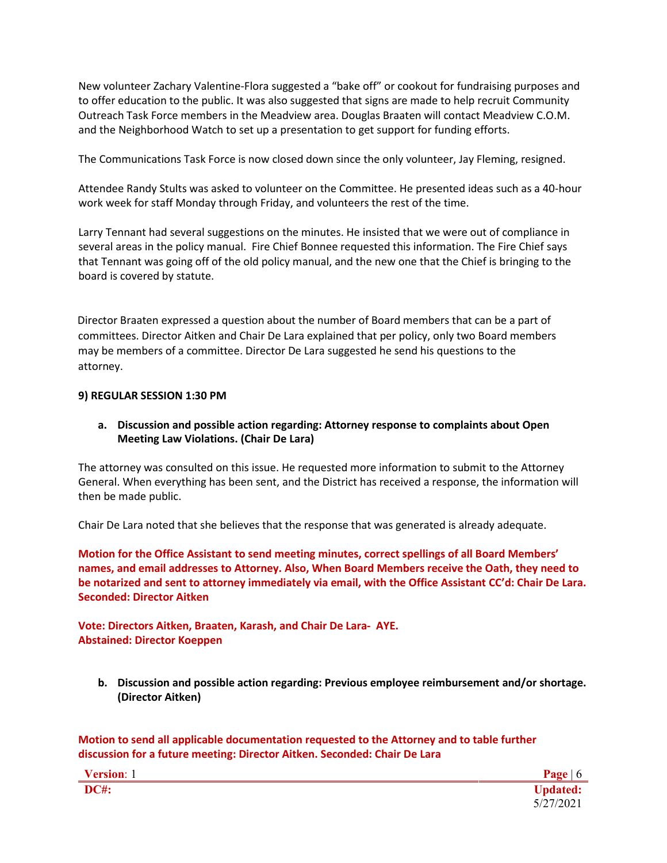New volunteer Zachary Valentine-Flora suggested a "bake off" or cookout for fundraising purposes and to offer education to the public. It was also suggested that signs are made to help recruit Community Outreach Task Force members in the Meadview area. Douglas Braaten will contact Meadview C.O.M. and the Neighborhood Watch to set up a presentation to get support for funding efforts.

The Communications Task Force is now closed down since the only volunteer, Jay Fleming, resigned.

Attendee Randy Stults was asked to volunteer on the Committee. He presented ideas such as a 40-hour work week for staff Monday through Friday, and volunteers the rest of the time.

Larry Tennant had several suggestions on the minutes. He insisted that we were out of compliance in several areas in the policy manual. Fire Chief Bonnee requested this information. The Fire Chief says that Tennant was going off of the old policy manual, and the new one that the Chief is bringing to the board is covered by statute.

Director Braaten expressed a question about the number of Board members that can be a part of committees. Director Aitken and Chair De Lara explained that per policy, only two Board members may be members of a committee. Director De Lara suggested he send his questions to the attorney.

### **9) REGULAR SESSION 1:30 PM**

## **a. Discussion and possible action regarding: Attorney response to complaints about Open Meeting Law Violations. (Chair De Lara)**

The attorney was consulted on this issue. He requested more information to submit to the Attorney General. When everything has been sent, and the District has received a response, the information will then be made public.

Chair De Lara noted that she believes that the response that was generated is already adequate.

**Motion for the Office Assistant to send meeting minutes, correct spellings of all Board Members' names, and email addresses to Attorney. Also, When Board Members receive the Oath, they need to be notarized and sent to attorney immediately via email, with the Office Assistant CC'd: Chair De Lara. Seconded: Director Aitken**

## **Vote: Directors Aitken, Braaten, Karash, and Chair De Lara- AYE. Abstained: Director Koeppen**

**b. Discussion and possible action regarding: Previous employee reimbursement and/or shortage. (Director Aitken)**

**Motion to send all applicable documentation requested to the Attorney and to table further discussion for a future meeting: Director Aitken. Seconded: Chair De Lara**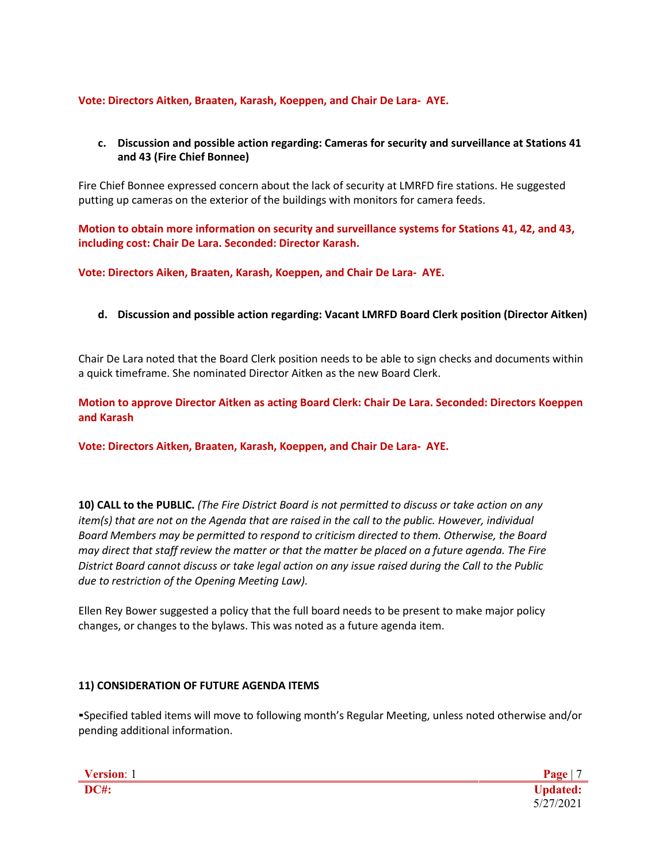## **Vote: Directors Aitken, Braaten, Karash, Koeppen, and Chair De Lara- AYE.**

## **c. Discussion and possible action regarding: Cameras for security and surveillance at Stations 41 and 43 (Fire Chief Bonnee)**

Fire Chief Bonnee expressed concern about the lack of security at LMRFD fire stations. He suggested putting up cameras on the exterior of the buildings with monitors for camera feeds.

**Motion to obtain more information on security and surveillance systems for Stations 41, 42, and 43, including cost: Chair De Lara. Seconded: Director Karash.**

**Vote: Directors Aiken, Braaten, Karash, Koeppen, and Chair De Lara- AYE.**

# **d. Discussion and possible action regarding: Vacant LMRFD Board Clerk position (Director Aitken)**

Chair De Lara noted that the Board Clerk position needs to be able to sign checks and documents within a quick timeframe. She nominated Director Aitken as the new Board Clerk.

**Motion to approve Director Aitken as acting Board Clerk: Chair De Lara. Seconded: Directors Koeppen and Karash**

**Vote: Directors Aitken, Braaten, Karash, Koeppen, and Chair De Lara- AYE.**

**10) CALL to the PUBLIC.** *(The Fire District Board is not permitted to discuss or take action on any item(s) that are not on the Agenda that are raised in the call to the public. However, individual Board Members may be permitted to respond to criticism directed to them. Otherwise, the Board may direct that staff review the matter or that the matter be placed on a future agenda. The Fire District Board cannot discuss or take legal action on any issue raised during the Call to the Public due to restriction of the Opening Meeting Law).*

Ellen Rey Bower suggested a policy that the full board needs to be present to make major policy changes, or changes to the bylaws. This was noted as a future agenda item.

## **11) CONSIDERATION OF FUTURE AGENDA ITEMS**

▪Specified tabled items will move to following month's Regular Meeting, unless noted otherwise and/or pending additional information.

| Version: 1  |  |
|-------------|--|
| <b>DC#:</b> |  |